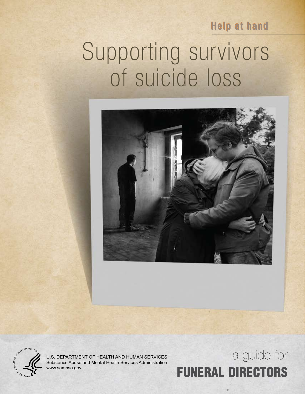**Helpathand**

# Supporting survivors of suicide loss





U.S. DEPARTMENT OF HEALTH AND HUMAN SERVICES Substance Abuse and Mental Health Services Administration www.samhsa.gov

## a guide for **ERAL DIRECTORS**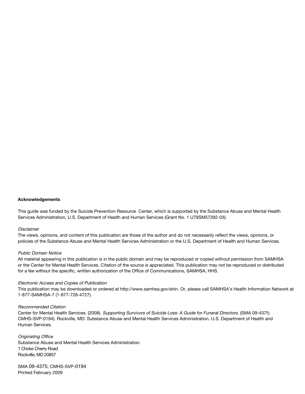#### **Acknowledgements**

This guide was funded by the Suicide Prevention Resource Center, which is supported by the Substance Abuse and Mental Health Services Administration, U.S. Department of Health and Human Services (Grant No. 1 U79SM57392-03).

#### **Disclaimer**

The views, opinions, and content of this publication are those of the author and do not necessarily reflect the views, opinions, or policies of the Substance Abuse and Mental Health Services Administration or the U.S. Department of Health and Human Services.

#### Public Domain Notice

All material appearing in this publication is in the public domain and may be reproduced or copied without permission from SAMHSA or the Center for Mental Health Services. Citation of the source is appreciated. This publication may not be reproduced or distributed for a fee without the specific, written authorization of the Office of Communications, SAMHSA, HHS.

#### Electronic Access and Copies of Publication

This publication may be downloaded or ordered at http://www.samhsa.gov/shin. Or, please call SAMHSA's Health Information Network at 1-877-SAMHSA-7 (1-877-726-4727).

#### Recommended Citation

Center for Mental Health Services. (2008). Supporting Survivors of Suicide Loss: A Guide for Funeral Directors. (SMA 09-4375; CMHS-SVP-0194). Rockville, MD: Substance Abuse and Mental Health Services Administration. U.S. Department of Health and Human Services.

Originating Office Substance Abuse and Mental Health Services Administration 1 Choke Cherry Road Rockville, MD 20857

SMA 09-4375; CMHS-SVP-0194 Printed February 2009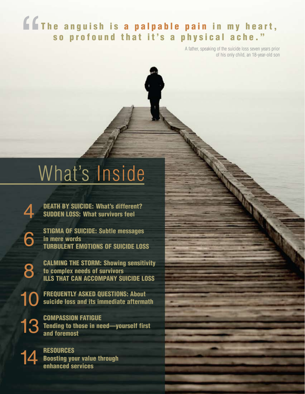## The anguish is a palpable pain in my heart, so profound that it's a physical ache." "<br>"

A father, speaking of the suicide loss seven years prior of his only child, an 18-year-old son

# What's Inside

DEATH BY SUICIDE: What's different? SUDDEN LOSS: What survivors feel

STIGMA OF SUICIDE: Subtle messages 6 THE MILLION STATE OF STATE SECONDS<br>TURBULENT EMOTIONS OF SUICIDE LOSS

> [CALMING THE STORM: Showing sensitivity](#page-8-0)  to complex needs of survivors ILLS THAT CAN ACCOMPANY SUICIDE LOSS

FREQUENTLY ASKED QUESTIONS: About [suicide loss and its immediate aftermath](#page-10-0) 

**13** COMPASSION FATIGUE<br>and foremost<br>and foremost [Tending to those in need—yourself first](#page-13-0)  and foremost

**14** RESOURCES<br>
enhanced se [Boosting your value through](#page-14-0)  enhanced services

8

10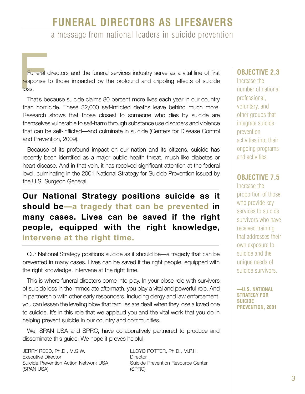## **FUNERAL DIRECTORS AS LIFESAVERS**

a message from national leaders in suicide prevention

Funeral directors and the funeral services industry serve as a vital line of first<br>response to those impacted by the profound and crippling effects of suicide<br>loss.<br>That's because suicide claims 80 percent more lives each response to those impacted by the profound and crippling effects of suicide loss.

That's because suicide claims 80 percent more lives each year in our country than homicide. These 32,000 self-inflicted deaths leave behind much more. Research shows that those closest to someone who dies by suicide are themselves vulnerable to self-harm through substance use disorders and violence that can be self-inflicted—and culminate in suicide (Centers for Disease Control and Prevention, 2009).

Because of its profound impact on our nation and its citizens, suicide has recently been identified as a major public health threat, much like diabetes or heart disease. And in that vein, it has received significant attention at the federal level, culminating in the 2001 National Strategy for Suicide Prevention issued by the U.S. Surgeon General.

**Our National Strategy positions suicide as it should be—a tragedy that can be prevented in many cases. Lives can be saved if the right people, equipped with the right knowledge, intervene at the right time.** 

Our National Strategy positions suicide as it should be—a tragedy that can be prevented in many cases. Lives can be saved if the right people, equipped with the right knowledge, intervene at the right time.

This is where funeral directors come into play. In your close role with survivors of suicide loss in the immediate aftermath, you play a vital and powerful role. And in partnership with other early responders, including clergy and law enforcement, you can lessen the leveling blow that families are dealt when they lose a loved one to suicide. It's in this role that we applaud you and the vital work that you do in helping prevent suicide in our country and communities.

We, SPAN USA and SPRC, have collaboratively partnered to produce and disseminate this guide. We hope it proves helpful.

JERRY REED, Ph.D., M.S.W. Executive Director Suicide Prevention Action Network USA (SPAN USA)

LLOYD POTTER, Ph.D., M.P.H. **Director** Suicide Prevention Resource Center (SPRC)

#### **OBJECTIVE 2.3**

Increase the number of national professional, voluntary, and other groups that integrate suicide prevention activities into their ongoing programs and activities.

#### **OBJECTIVE 7.5**

Increase the proportion of those who provide key services to suicide survivors who have received training that addresses their own exposure to suicide and the unique needs of suicide survivors.

**—U.S. NATIONAL STRATEGY FOR SUICIDE PREVENTION, 2001**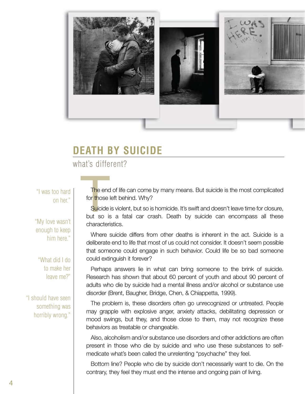<span id="page-4-0"></span>

## **DEATH BY SUICIDE**

what's different?

"I was too hard on her."

"My love wasn't enough to keep him here."

"What did I do to make her leave me?"

"I should have seen something was horribly wrong."

The end of life can come by many means. But suicide is the most complicated for those left behind. Why?

The end<br>for those I<br>Suicide<br>but so is Suicide is violent, but so is homicide. It's swift and doesn't leave time for closure, but so is a fatal car crash. Death by suicide can encompass all these characteristics.

Where suicide differs from other deaths is inherent in the act. Suicide is a deliberate end to life that most of us could not consider. It doesn't seem possible that someone could engage in such behavior. Could life be so bad someone could extinguish it forever?

Perhaps answers lie in what can bring someone to the brink of suicide. Research has shown that about 60 percent of youth and about 90 percent of adults who die by suicide had a mental illness and/or alcohol or substance use disorder (Brent, Baugher, Bridge, Chen, & Chiappetta, 1999).

The problem is, these disorders often go unrecognized or untreated. People may grapple with explosive anger, anxiety attacks, debilitating depression or mood swings, but they, and those close to them, may not recognize these behaviors as treatable or changeable.

Also, alcoholism and/or substance use disorders and other addictions are often present in those who die by suicide and who use these substances to selfmedicate what's been called the unrelenting "psychache" they feel.

Bottom line? People who die by suicide don't necessarily want to die. On the contrary, they feel they must end the intense and ongoing pain of living.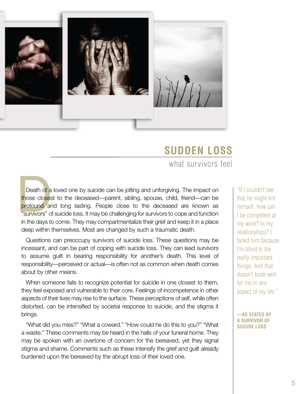

## **SUDDEN LOSS**

what survivors feel

Death of a<br>those closes<br>profound ar<br>"survivors" of<br>in the days to Death of a loved one by suicide can be jolting and unforgiving. The impact on those closest to the deceased—parent, sibling, spouse, child, friend—can be profound and long lasting. People close to the deceased are known as "survivors" of suicide loss. It may be challenging for survivors to cope and function in the days to come. They may compartmentalize their grief and keep it in a place deep within themselves. Most are changed by such a traumatic death.

Questions can preoccupy survivors of suicide loss. These questions may be incessant, and can be part of coping with suicide loss. They can lead survivors to assume guilt in bearing responsibility for another's death. This level of responsibility—perceived or actual—is often not as common when death comes about by other means.

When someone fails to recognize potential for suicide in one closest to them, they feel exposed and vulnerable to their core. Feelings of incompetence in other aspects of their lives may rise to the surface. These perceptions of self, while often distorted, can be intensified by societal response to suicide, and the stigma it brings.

"What did you miss?" "What a coward." "How could he do this to you?" "What a waste." These comments may be heard in the halls of your funeral home. They may be spoken with an overtone of concern for the bereaved, yet they signal stigma and shame. Comments such as these intensify the grief and guilt already burdened upon the bereaved by the abrupt loss of their loved one.

"If I couldn't see that he might kill himself, how can I be competent at my work? In my relationships? I failed him because I'm blind to the really important things. And that doesn't bode well for me in any aspect of my life."

#### **—AS STATED BY A SURVIVOR OF SUICIDE LOSS**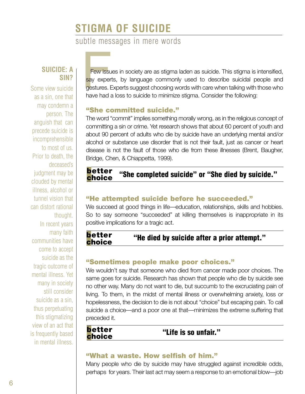## **STIGMA OF SUICIDE**

subtle messages in mere words

#### <span id="page-6-0"></span>**SUICIDE: A SIN?**

Some view suicide as a sin, one that may condemn a person. The anguish that can precede suicide is incomprehensible to most of us. Prior to death, the deceased's judgment may be clouded by mental illness, alcohol or tunnel vision that can distort rational thought. In recent years many faith communities have come to accept suicide as the tragic outcome of mental illness. Yet many in society still consider suicide as a sin, thus perpetuating this stigmatizing view of an act that is frequently based in mental illness.

Few issues in society are as stigma laden as suicide. This stigma is intensified,<br>say experts, by language commonly used to describe suicidal people and<br>gestures. Experts suggest choosing words with care when talking with say experts, by language commonly used to describe suicidal people and gestures. Experts suggest choosing words with care when talking with those who have had a loss to suicide to minimize stigma. Consider the following:

#### "She committed suicide."

The word "commit" implies something morally wrong, as in the religious concept of committing a sin or crime. Yet research shows that about 60 percent of youth and about 90 percent of adults who die by suicide have an underlying mental and/or alcohol or substance use disorder that is not their fault, just as cancer or heart disease is not the fault of those who die from these illnesses (Brent, Baugher, Bridge, Chen, & Chiappetta, 1999).

#### better<br>choice "She completed suicide" or "She died by suicide."

#### "He attempted suicide before he succeeded."

We succeed at good things in life—education, relationships, skills and hobbies. So to say someone "succeeded" at killing themselves is inappropriate in its positive implications for a tragic act.

#### better<br>choice "He died by suicide after a prior attempt."

#### "Sometimes people make poor choices."

We wouldn't say that someone who died from cancer made poor choices. The same goes for suicide. Research has shown that people who die by suicide see no other way. Many do not want to die, but succumb to the excruciating pain of living. To them, in the midst of mental illness or overwhelming anxiety, loss or hopelessness, the decision to die is not about "choice" but escaping pain. To call suicide a choice—and a poor one at that—minimizes the extreme suffering that preceded it.

## better<br>choice

#### "Life is so unfair."

#### "What a waste. How selfish of him."

Many people who die by suicide may have struggled against incredible odds, perhaps for years. Their last act may seem a response to an emotional blow—job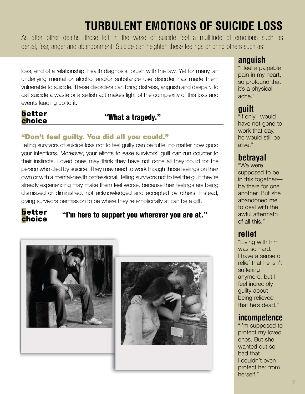## **TURBULENT EMOTIONS OF SUICIDE LOSS**

As after other deaths, those left in the wake of suicide feel a multitude of emotions such as denial, fear, anger and abandonment. Suicide can heighten these feelings or bring others such as:

loss, end of a relationship, health diagnosis, brush with the law. Yet for many, an underlying mental or alcohol and/or substance use disorder has made them vulnerable to suicide. These disorders can bring distress, anguish and despair. To call suicide a waste or a selfish act makes light of the complexity of this loss and events leading up to it.

## better<br>choice

#### "What a tragedy."

#### "Don't feel guilty. You did all you could."

Telling survivors of suicide loss not to feel guilty can be futile, no matter how good your intentions. Moreover, your efforts to ease survivors' guilt can run counter to their instincts. Loved ones may think they have not done all they could for the person who died by suicide. They may need to work though those feelings on their own or with a mental-health professional. Telling survivors not to feel the guilt they're already experiencing may make them feel worse, because their feelings are being dismissed or diminished, not acknowledged and accepted by others. Instead, giving survivors permission to be where they're emotionally at can be a gift.

#### better<br>choice "I'm here to support you wherever you are at."





#### **anguish**

"I feel a palpable pain in my heart, so profound that it's a physical ache."

#### **guilt**

"If only I would have not gone to work that day, he would still be alive."

## **betrayal**

"We were supposed to be in this together be there for one another. But she abandoned me to deal with the awful aftermath of all this."

## **relief**

"Living with him was so hard. I have a sense of relief that he isn't suffering anymore, but I feel incredibly guilty about being relieved that he's dead."

#### **incompetence**

"I'm supposed to protect my loved ones. But she wanted out so bad that I couldn't even protect her from herself."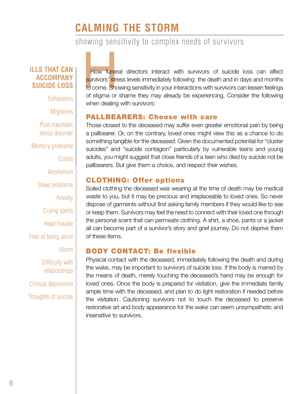## **CALMING THE STORM**

#### showing sensitivity to complex needs of survivors

#### <span id="page-8-0"></span>**ILLS THAT CAN ACCOMPANY SUICIDE LOSS**

**Exhaustion** 

**Migraines** 

Post-traumatic stress disorder Memory problems **Colitis** Alcoholism

Sleep problems

Anxiety

Crying spells

Heart trouble

Fear of being alone

Ulcers

Difficulty with relationships

Clinical depression Thoughts of suicide How funeral directors interact with survivors of suicide loss can affect<br>survivors' stress levels immediately following the death and in days and months<br>to come. Showing sensitivity in your interactions with survivors can survivors' stress levels immediately following the death and in days and months to come. Showing sensitivity in your interactions with survivors can lessen feelings of stigma or shame they may already be experiencing. Consider the following when dealing with survivors:

#### PALLBEARERS: Choose with care

Those closest to the deceased may suffer even greater emotional pain by being a pallbearer. Or, on the contrary, loved ones might view this as a chance to do something tangible for the deceased. Given the documented potential for "cluster suicides" and "suicide contagion" particularly by vulnerable teens and young adults, you might suggest that close friends of a teen who died by suicide not be pallbearers. But give them a choice, and respect their wishes.

#### CLOTHING: Offer options

Soiled clothing the deceased was wearing at the time of death may be medical waste to you, but it may be precious and irreplaceable to loved ones. So never dispose of garments without first asking family members if they would like to see or keep them. Survivors may feel the need to connect with their loved one through the personal scent that can permeate clothing. A shirt, a shoe, pants or a jacket all can become part of a survivor's story and grief journey. Do not deprive them of these items.

#### BODY CONTACT: Be flexible

Physical contact with the deceased, immediately following the death and during the wake, may be important to survivors of suicide loss. If the body is marred by the means of death, merely touching the deceased's hand may be enough for loved ones. Once the body is prepared for visitation, give the immediate family ample time with the deceased, and plan to do light restoration if needed before the visitation. Cautioning survivors not to touch the deceased to preserve restorative art and body appearance for the wake can seem unsympathetic and insensitive to survivors.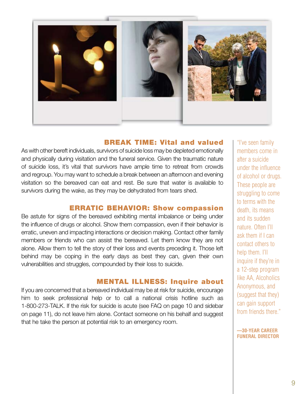

#### BREAK TIME: Vital and valued

As with other bereft individuals, survivors of suicide loss may be depleted emotionally and physically during visitation and the funeral service. Given the traumatic nature of suicide loss, it's vital that survivors have ample time to retreat from crowds and regroup. You may want to schedule a break between an afternoon and evening visitation so the bereaved can eat and rest. Be sure that water is available to survivors during the wake, as they may be dehydrated from tears shed.

#### ERRATIC BEHAVIOR: Show compassion

Be astute for signs of the bereaved exhibiting mental imbalance or being under the influence of drugs or alcohol. Show them compassion, even if their behavior is erratic, uneven and impacting interactions or decision making. Contact other family members or friends who can assist the bereaved. Let them know they are not alone. Allow them to tell the story of their loss and events preceding it. Those left behind may be coping in the early days as best they can, given their own vulnerabilities and struggles, compounded by their loss to suicide.

#### MENTAL ILLNESS: Inquire about

If you are concerned that a bereaved individual may be at risk for suicide, encourage him to seek professional help or to call a national crisis hotline such as 1-800-273-TALK. If the risk for suicide is acute (see FAQ on page 10 and sidebar on page 11), do not leave him alone. Contact someone on his behalf and suggest that he take the person at potential risk to an emergency room.

"I've seen family members come in after a suicide under the influence of alcohol or drugs. These people are struggling to come to terms with the death, its means and its sudden nature. Often I'll ask them if I can contact others to help them. I'll inquire if they're in a 12-step program like AA, Alcoholics Anonymous, and (suggest that they) can gain support from friends there."

**—30-YEAR CAREER FUNERAL DIRECTOR**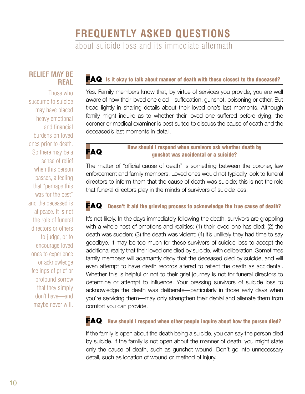## **FREQUENTLY ASKED QUESTIONS**

about suicide loss and its immediate aftermath

#### <span id="page-10-0"></span>**RELIEF MAY BE REAL**

Those who succumb to suicide may have placed heavy emotional and financial burdens on loved ones prior to death. So there may be a sense of relief when this person passes, a feeling that "perhaps this was for the best" and the deceased is at peace. It is not the role of funeral directors or others to judge, or to encourage loved ones to experience or acknowledge feelings of grief or profound sorrow that they simply don't have—and maybe never will.

#### **FAQ** Is it okay to talk about manner of death with those closest to the deceased?

Yes. Family members know that, by virtue of services you provide, you are well aware of how their loved one died—suffocation, gunshot, poisoning or other. But tread lightly in sharing details about their loved one's last moments. Although family might inquire as to whether their loved one suffered before dying, the coroner or medical examiner is best suited to discuss the cause of death and the deceased's last moments in detail.

#### **FAQ** How should I respond when survivors ask whether death by gunshot was accidental or a suicide?

The matter of "official cause of death" is something between the coroner, law enforcement and family members. Loved ones would not typically look to funeral directors to inform them that the cause of death was suicide; this is not the role that funeral directors play in the minds of survivors of suicide loss.

#### **FAQ** Doesn't it aid the grieving process to acknowledge the true cause of death?

It's not likely. In the days immediately following the death, survivors are grappling with a whole host of emotions and realities: (1) their loved one has died; (2) the death was sudden; (3) the death was violent; (4) it's unlikely they had time to say goodbye. It may be too much for these survivors of suicide loss to accept the additional reality that their loved one died by suicide, with deliberation. Sometimes family members will adamantly deny that the deceased died by suicide, and will even attempt to have death records altered to reflect the death as accidental. Whether this is helpful or not to their grief journey is not for funeral directors to determine or attempt to influence. Your pressing survivors of suicide loss to acknowledge the death was deliberate—particularly in those early days when you're servicing them—may only strengthen their denial and alienate them from comfort you can provide.

#### FAQ How should I respond when other people inquire about how the person died?

If the family is open about the death being a suicide, you can say the person died by suicide. If the family is not open about the manner of death, you might state only the cause of death, such as gunshot wound. Don't go into unnecessary detail, such as location of wound or method of injury.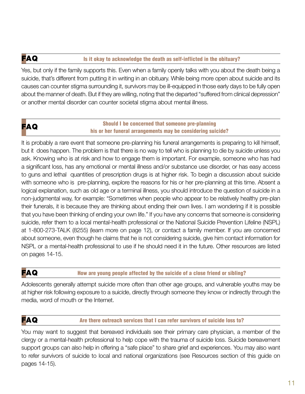#### **FAQ** Is it okay to acknowledge the death as self-inflicted in the obituary?

Yes, but only if the family supports this. Even when a family openly talks with you about the death being a suicide, that's different from putting it in writing in an obituary. While being more open about suicide and its causes can counter stigma surrounding it, survivors may be ill-equipped in those early days to be fully open about the manner of death. But if they are willing, noting that the departed "suffered from clinical depression" or another mental disorder can counter societal stigma about mental illness.

#### FAQ Should I be concerned that someone pre-planning his or her funeral arrangements may be considering suicide?

It is probably a rare event that someone pre-planning his funeral arrangements is preparing to kill himself, but it does happen. The problem is that there is no way to tell who is planning to die by suicide unless you ask. Knowing who is at risk and how to engage them is important. For example, someone who has had a significant loss, has any emotional or mental illness and/or substance use disorder, or has easy access to guns and lethal quantities of prescription drugs is at higher risk. To begin a discussion about suicide with someone who is pre-planning, explore the reasons for his or her pre-planning at this time. Absent a logical explanation, such as old age or a terminal illness, you should introduce the question of suicide in a non-judgmental way, for example: "Sometimes when people who appear to be relatively healthy pre-plan their funerals, it is because they are thinking about ending their own lives. I am wondering if it is possible that you have been thinking of ending your own life." If you have any concerns that someone is considering suicide, refer them to a local mental-health professional or the National Suicide Prevention Lifeline (NSPL) at 1-800-273-TALK (8255) (learn more on page 12), or contact a family member. If you are concerned about someone, even though he claims that he is not considering suicide, give him contact information for NSPL or a mental-health professional to use if he should need it in the future. Other resources are listed on pages 14-15.

#### **FAQ** How are young people affected by the suicide of a close friend or sibling?

Adolescents generally attempt suicide more often than other age groups, and vulnerable youths may be at higher risk following exposure to a suicide, directly through someone they know or indirectly through the media, word of mouth or the Internet.

#### **FAQ** Are there outreach services that I can refer survivors of suicide loss to?

You may want to suggest that bereaved individuals see their primary care physician, a member of the clergy or a mental-health professional to help cope with the trauma of suicide loss. Suicide bereavement support groups can also help in offering a "safe place" to share grief and experiences. You may also want to refer survivors of suicide to local and national organizations (see Resources section of this guide on pages 14-15).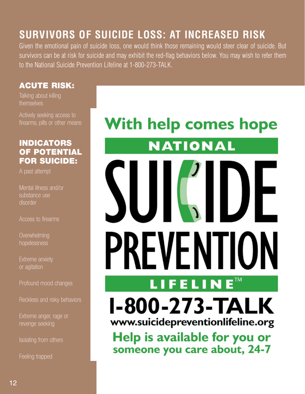## **SURVIVORS OF SUICIDE LOSS: AT INCREASED RISK**

Given the emotional pain of suicide loss, one would think those remaining would steer clear of suicide. But survivors can be at risk for suicide and may exhibit the red-flag behaviors below. You may wish to refer them to the National Suicide Prevention Lifeline at 1-800-273-TALK.

#### ACUTE RISK:

Talking about killing themselves

Actively seeking access to firearms, pills or other means

#### INDICATORS OF POTENTIAL FOR SUICIDE:

A past attempt

Mental illness and/or substance use disorder

Access to firearms

**Overwhelming** hopelessness

Extreme anxiety or agitation

Profound mood changes

Reckless and risky behaviors

Extreme anger, rage or revenge seeking

Isolating from others

Feeling trapped

# **With help comes hope NATIONAL** EVENTIOI **LIFELINE**™ **I-800-273-TALK** www.suicidepreventionlifeline.org

Help is available for you or someone you care about, 24-7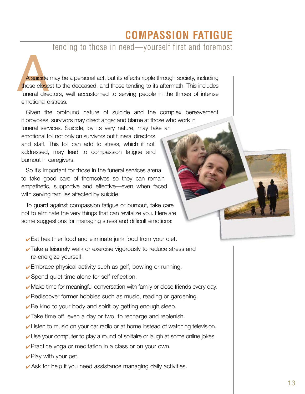## **COMPASSION FATIGUE**

<span id="page-13-0"></span>tending to those in need—yourself first and foremost

A suicide may be a personal act, but its effects ripple through society, including those closest to the deceased, and those tending to its aftermath. This includes funeral directors, well accustomed to serving people in the throes of intense emotional distress.

Given the profound nature of suicide and the complex bereavement it provokes, survivors may direct anger and blame at those who work in funeral services. Suicide, by its very nature, may take an emotional toll not only on survivors but funeral directors and staff. This toll can add to stress, which if not addressed, may lead to compassion fatigue and burnout in caregivers.

So it's important for those in the funeral services arena to take good care of themselves so they can remain empathetic, supportive and effective—even when faced with serving families affected by suicide.

To guard against compassion fatigue or burnout, take care not to eliminate the very things that can revitalize you. Here are some suggestions for managing stress and difficult emotions:

- $\sqrt{\ }$ Eat healthier food and eliminate junk food from your diet.
- re-energize yourself. Take a leisurely walk or exercise vigorously to reduce stress and
- **►** Embrace physical activity such as golf, bowling or running.
- **►** Spend quiet time alone for self-reflection.
- $\blacktriangleright$  Make time for meaningful conversation with family or close friends every day.
- $\sqrt{\ }$  Rediscover former hobbies such as music, reading or gardening.
- $\sqrt{\ }$ Be kind to your body and spirit by getting enough sleep.
- $\sqrt{\ }$  Take time off, even a day or two, to recharge and replenish.
- $\overline{\mathsf{L}}$  Listen to music on your car radio or at home instead of watching television.
- $\overline{\mathsf{v}}$  Use your computer to play a round of solitaire or laugh at some online jokes.
- **∕ Practice yoga or meditation in a class or on your own.**
- $\blacktriangleright$  Play with your pet.
- $\blacktriangleright$  Ask for help if you need assistance managing daily activities.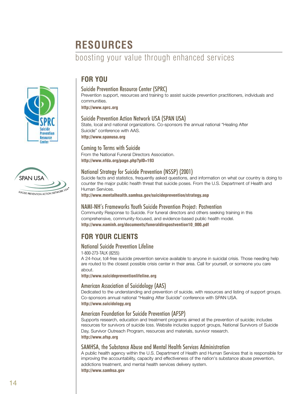## <span id="page-14-0"></span>**RESOURCES**

## boosting your value through enhanced services

#### **FOR YOU**

#### Suicide Prevention Resource Center (SPRC)

Prevention support, resources and training to assist suicide prevention practitioners, individuals and communities.

<http://www.sprc.org>

#### Suicide Prevention Action Network USA (SPAN USA)

State, local and national organizations. Co-sponsors the annual national "Healing After Suicide" conference with AAS. <http://www.spanusa.org>

#### Coming to Terms with Suicide

From the National Funeral Directors Association. <http://www.nfda.org/page.php?pID=193>

#### National Strategy for Suicide Prevention (NSSP) (2001)

Suicide facts and statistics, frequently asked questions, and information on what our country is doing to counter the major public health threat that suicide poses. From the U.S. Department of Health and Human Services.

<http://www.mentalhealth.samhsa.gov/suicideprevention/strategy.asp>

#### NAMI-NH's Frameworks Youth Suicide Prevention Project: Postvention

Community Response to Suicide. For funeral directors and others seeking training in this comprehensive, community-focused, and evidence-based public health model. [http://www.naminh.org/documents/funeraldirspostvention10\\_000.pdf](http://www.naminh.org/documents/funeraldirspostvention10_000.pdf)

#### **FOR YOUR CLIENTS**

#### National Suicide Prevention Lifeline

1-800-273-TALK (8255)

A 24-hour, toll-free suicide prevention service available to anyone in suicidal crisis. Those needing help are routed to the closest possible crisis center in their area. Call for yourself, or someone you care about.

<http://www.suicidepreventionlifeline.org>

#### American Association of Suicidology (AAS)

Dedicated to the understanding and prevention of suicide, with resources and listing of support groups. Co-sponsors annual national "Healing After Suicide" conference with SPAN USA. <http://www.suicidology.org>

#### American Foundation for Suicide Prevention (AFSP)

Supports research, education and treatment programs aimed at the prevention of suicide; includes resources for survivors of suicide loss. Website includes support groups, National Survivors of Suicide Day, Survivor Outreach Program, resources and materials, survivor research. <http://www.afsp.org>

#### SAMHSA, the Substance Abuse and Mental Health Services Administration

A public health agency within the U.S. Department of Health and Human Services that is responsible for improving the accountability, capacity and effectiveness of the nation's substance abuse prevention, addictions treatment, and mental health services delivery system. <http://www.samhsa.gov>



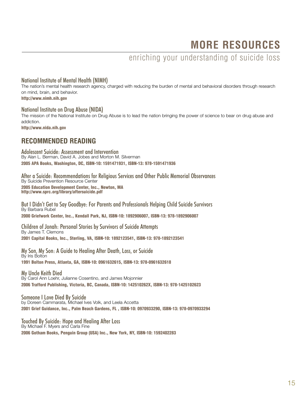## **MORE RESOURCES**

enriching your understanding of suicide loss

#### National Institute of Mental Health (NIMH)

The nation's mental health research agency, charged with reducing the burden of mental and behavioral disorders through research on mind, brain, and behavior. <http://www.nimh.nih.gov>

#### National Institute on Drug Abuse (NIDA)

The mission of the National Institute on Drug Abuse is to lead the nation bringing the power of science to bear on drug abuse and addiction.

<http://www.nida.nih.gov>

#### **RECOMMENDED READING**

Adolescent Suicide: Assessment and Intervention By Alan L. Berman, David A. Jobes and Morton M. Silverman 2005 APA Books, Washington, DC, ISBN-10: 1591471931, ISBN-13: 978-1591471936

After a Suicide: Recommendations for Religious Services and Other Public Memorial Observances By Suicide Prevention Resource Center

2005 Education Development Center, Inc., Newton, MA http://www.sprc.org/library/aftersuicide.pdf

But I Didn't Get to Say Goodbye: For Parents and Professionals Helping Child Suicide Survivors By Barbara Rubel 2000 Griefwork Center, Inc., Kendall Park, NJ, ISBN-10: 1892906007, ISBN-13: 978-1892906007

Children of Jonah: Personal Stories by Survivors of Suicide Attempts By James T. Clemons 2001 Capital Books, Inc., Sterling, VA, ISBN-10: 1892123541, ISBN-13: 978-1892123541

My Son, My Son: A Guide to Healing After Death, Loss, or Suicide By Iris Bolton 1991 Bolton Press, Atlanta, GA, ISBN-10: 0961632615, ISBN-13: 978-0961632618

My Uncle Keith Died By Carol Ann Loehr, Julianne Cosentino, and James Mojonnier 2006 Trafford Publishing, Victoria, BC, Canada, ISBN-10: 142510262X, ISBN-13: 978-1425102623

Someone I Love Died By Suicide by Doreen Cammarata, Michael Ives Volk, and Leela Accetta 2001 Grief Guidance, Inc., Palm Beach Gardens, FL , ISBN-10: 0970933290, ISBN-13: 978-0970933294

Touched By Suicide: Hope and Healing After Loss By Michael F. Myers and Carla Fine 2006 Gotham Books, Penguin Group (USA) Inc., New York, NY, ISBN-10: 1592402283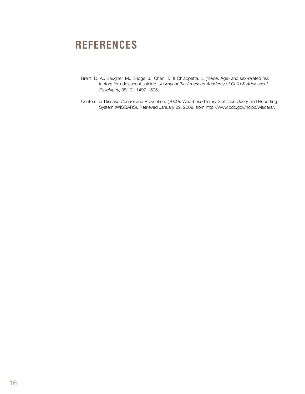## **REFERENCES**

- factors for adolescent suicide. Journal of the American Academy of Child & Adolescent Brent, D. A., Baugher, M., Bridge, J., Chen, T., & Chiappetta, L. (1999). Age- and sex-related risk Psychiatry, 38(12), 1497-1505.
- Centers for Disease Control and Prevention. (2009). Web-based Injury Statistics Query and Reporting System (WISQARS). Retrieved January 29, 2009, from [http://www.cdc.gov/ncipc/wisqars/.](http://www.cdc.gov/ncipc/wisqars)